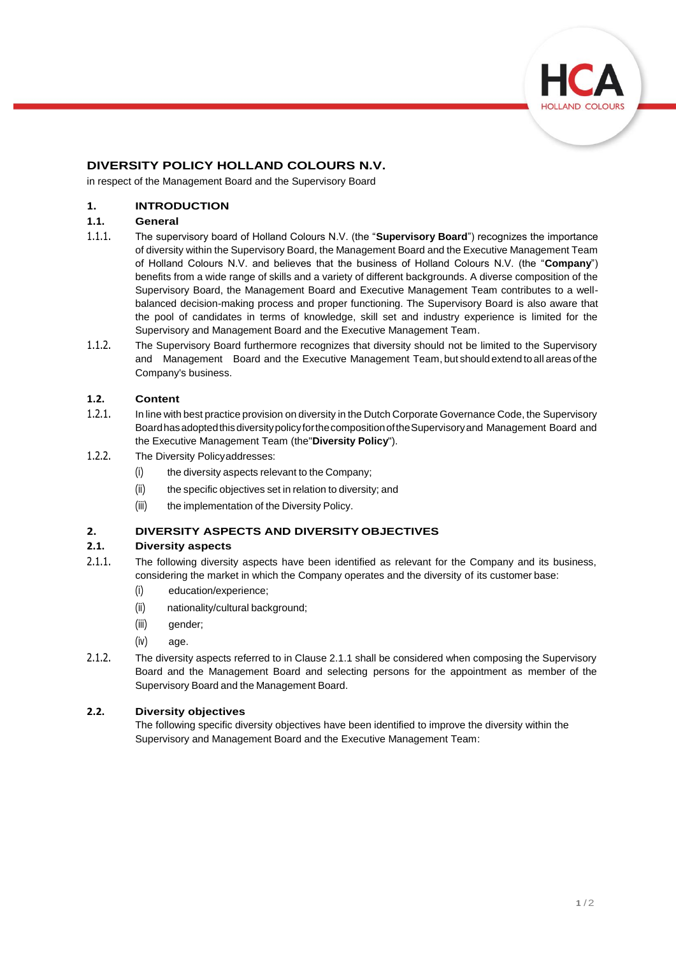

# **DIVERSITY POLICY HOLLAND COLOURS N.V.**

in respect of the Management Board and the Supervisory Board

### **1. INTRODUCTION**

#### **1.1. General**

- 1.1.1. The supervisory board of Holland Colours N.V. (the "**Supervisory Board**") recognizes the importance of diversity within the Supervisory Board, the Management Board and the Executive Management Team of Holland Colours N.V. and believes that the business of Holland Colours N.V. (the "**Company**") benefits from a wide range of skills and a variety of different backgrounds. A diverse composition of the Supervisory Board, the Management Board and Executive Management Team contributes to a wellbalanced decision-making process and proper functioning. The Supervisory Board is also aware that the pool of candidates in terms of knowledge, skill set and industry experience is limited for the Supervisory and Management Board and the Executive Management Team.
- 1.1.2. The Supervisory Board furthermore recognizes that diversity should not be limited to the Supervisory and Management Board and the Executive Management Team, but should extend to all areas of the Company's business.

#### **1.2. Content**

- 1.2.1. In line with best practice provision on diversity in the Dutch Corporate Governance Code, the Supervisory BoardhasadoptedthisdiversitypolicyforthecompositionoftheSupervisoryand Management Board and the Executive Management Team (the"**Diversity Policy**").
- 1.2.2. The Diversity Policyaddresses:
	- (i) the diversity aspects relevant to the Company;
	- (ii) the specific objectives set in relation to diversity; and
	- (iii) the implementation of the Diversity Policy.

#### **2. DIVERSITY ASPECTS AND DIVERSITY OBJECTIVES**

#### **2.1. Diversity aspects**

- 2.1.1. The following diversity aspects have been identified as relevant for the Company and its business, considering the market in which the Company operates and the diversity of its customer base:
	- (i) education/experience;
	- (ii) nationality/cultural background;
	- (iii) gender;
	- (iv) age.
- 2.1.2. The diversity aspects referred to in Clause 2.1.1 shall be considered when composing the Supervisory Board and the Management Board and selecting persons for the appointment as member of the Supervisory Board and the Management Board.

#### **2.2. Diversity objectives**

The following specific diversity objectives have been identified to improve the diversity within the Supervisory and Management Board and the Executive Management Team: